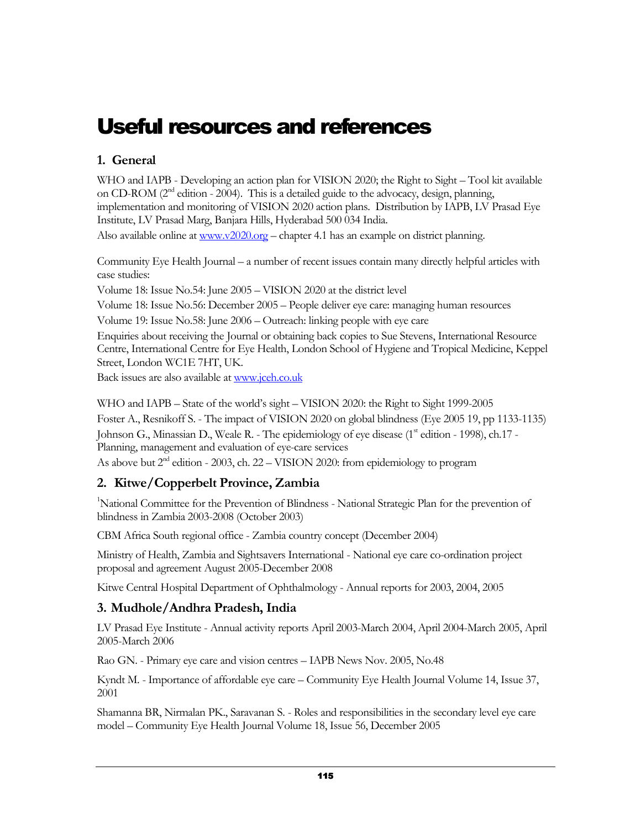# Useful resources and references

#### 1. General

WHO and IAPB - Developing an action plan for VISION 2020; the Right to Sight – Tool kit available on CD-ROM ( $2<sup>nd</sup>$  edition - 2004). This is a detailed guide to the advocacy, design, planning, implementation and monitoring of VISION 2020 action plans. Distribution by IAPB, LV Prasad Eye Institute, LV Prasad Marg, Banjara Hills, Hyderabad 500 034 India.

Also available online at  $\frac{www.v2020.org - chapter 4.1}{www.v2020.org - chapter 4.1}$  has an example on district planning.

Community Eye Health Journal – a number of recent issues contain many directly helpful articles with case studies:

Volume 18: Issue No.54: June 2005 – VISION 2020 at the district level

Volume 18: Issue No.56: December 2005 – People deliver eye care: managing human resources

Volume 19: Issue No.58: June 2006 – Outreach: linking people with eye care

Enquiries about receiving the Journal or obtaining back copies to Sue Stevens, International Resource Centre, International Centre for Eye Health, London School of Hygiene and Tropical Medicine, Keppel Street, London WC1E 7HT, UK.

Back issues are also available at www.jceh.co.uk

WHO and IAPB – State of the world's sight – VISION 2020: the Right to Sight 1999-2005 Foster A., Resnikoff S. - The impact of VISION 2020 on global blindness (Eye 2005 19, pp 1133-1135) Johnson G., Minassian D., Weale R. - The epidemiology of eye disease (1<sup>st</sup> edition - 1998), ch.17 -Planning, management and evaluation of eye-care services

As above but 2<sup>nd</sup> edition - 2003, ch. 22 – VISION 2020: from epidemiology to program

### 2. Kitwe/Copperbelt Province, Zambia

<sup>1</sup>National Committee for the Prevention of Blindness - National Strategic Plan for the prevention of blindness in Zambia 2003-2008 (October 2003)

CBM Africa South regional office - Zambia country concept (December 2004)

Ministry of Health, Zambia and Sightsavers International - National eye care co-ordination project proposal and agreement August 2005-December 2008

Kitwe Central Hospital Department of Ophthalmology - Annual reports for 2003, 2004, 2005

### 3. Mudhole/Andhra Pradesh, India

LV Prasad Eye Institute - Annual activity reports April 2003-March 2004, April 2004-March 2005, April 2005-March 2006

Rao GN. - Primary eye care and vision centres – IAPB News Nov. 2005, No.48

Kyndt M. - Importance of affordable eye care – Community Eye Health Journal Volume 14, Issue 37, 2001

Shamanna BR, Nirmalan PK., Saravanan S. - Roles and responsibilities in the secondary level eye care model – Community Eye Health Journal Volume 18, Issue 56, December 2005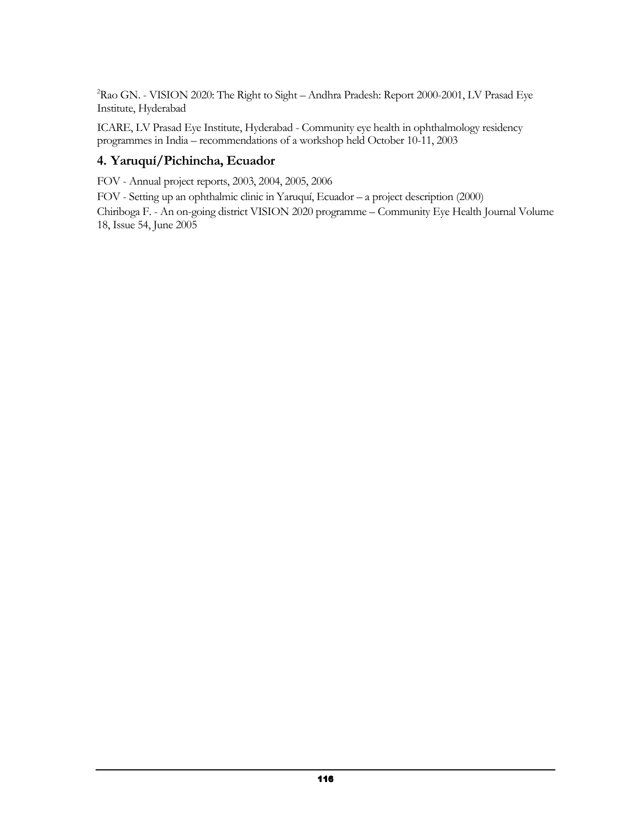<sup>2</sup>Rao GN. - VISION 2020: The Right to Sight – Andhra Pradesh: Report 2000-2001, LV Prasad Eye Institute, Hyderabad

ICARE, LV Prasad Eye Institute, Hyderabad - Community eye health in ophthalmology residency programmes in India – recommendations of a workshop held October 10-11, 2003

#### 4. Yaruquí/Pichincha, Ecuador

FOV - Annual project reports, 2003, 2004, 2005, 2006

FOV - Setting up an ophthalmic clinic in Yaruquí, Ecuador – a project description (2000)

Chiriboga F. - An on-going district VISION 2020 programme – Community Eye Health Journal Volume 18, Issue 54, June 2005